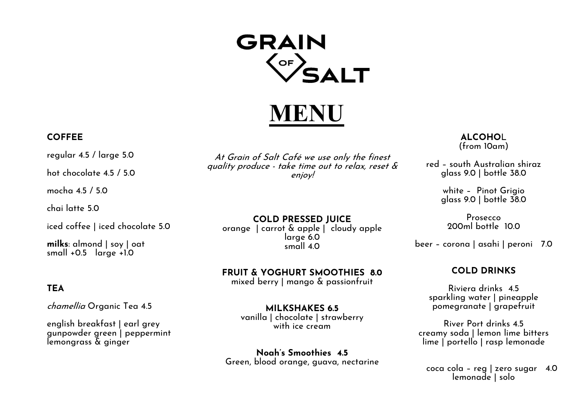# **GRAIN**  $\bigcirc$ F

MEN

## COFFEE

regular 4.5 / large 5.0

hot chocolate 4.5 / 5.0

mocha 4.5 / 5.0

chai latte 5.0

iced coffee | iced chocolate 5.0

milks: almond | soy | oat small +0.5 large +1.0

## **TEA**

chamellia Organic Tea 4.5

english breakfast | earl grey gunpowder green | peppermint lemongrass & ginger

At Grain of Salt Café we use only the finest quality produce - take time out to relax, reset & enjoy!

COLD PRESSED JUICE orange | carrot & apple | cloudy apple large 6.0 small 4.0

FRUIT & YOGHURT SMOOTHIES 8.0

mixed berry | mango & passionfruit

MILKSHAKES 6.5 vanilla | chocolate | strawberry with ice cream

Noah's Smoothies 4.5 Green, blood orange, guava, nectarine

**ALCOHOL** (from 10am)

red – south Australian shiraz glass 9.0 | bottle 38.0

> white – Pinot Grigio glass 9.0 | bottle 38.0

Prosecco 200ml bottle 10.0

beer – corona | asahi | peroni 7.0

## COLD DRINKS

Riviera drinks 4.5 sparkling water | pineapple pomegranate | grapefruit

River Port drinks 4.5 creamy soda | lemon lime bitters lime | portello | rasp lemonade

coca cola – reg | zero sugar 4.0 lemonade | solo